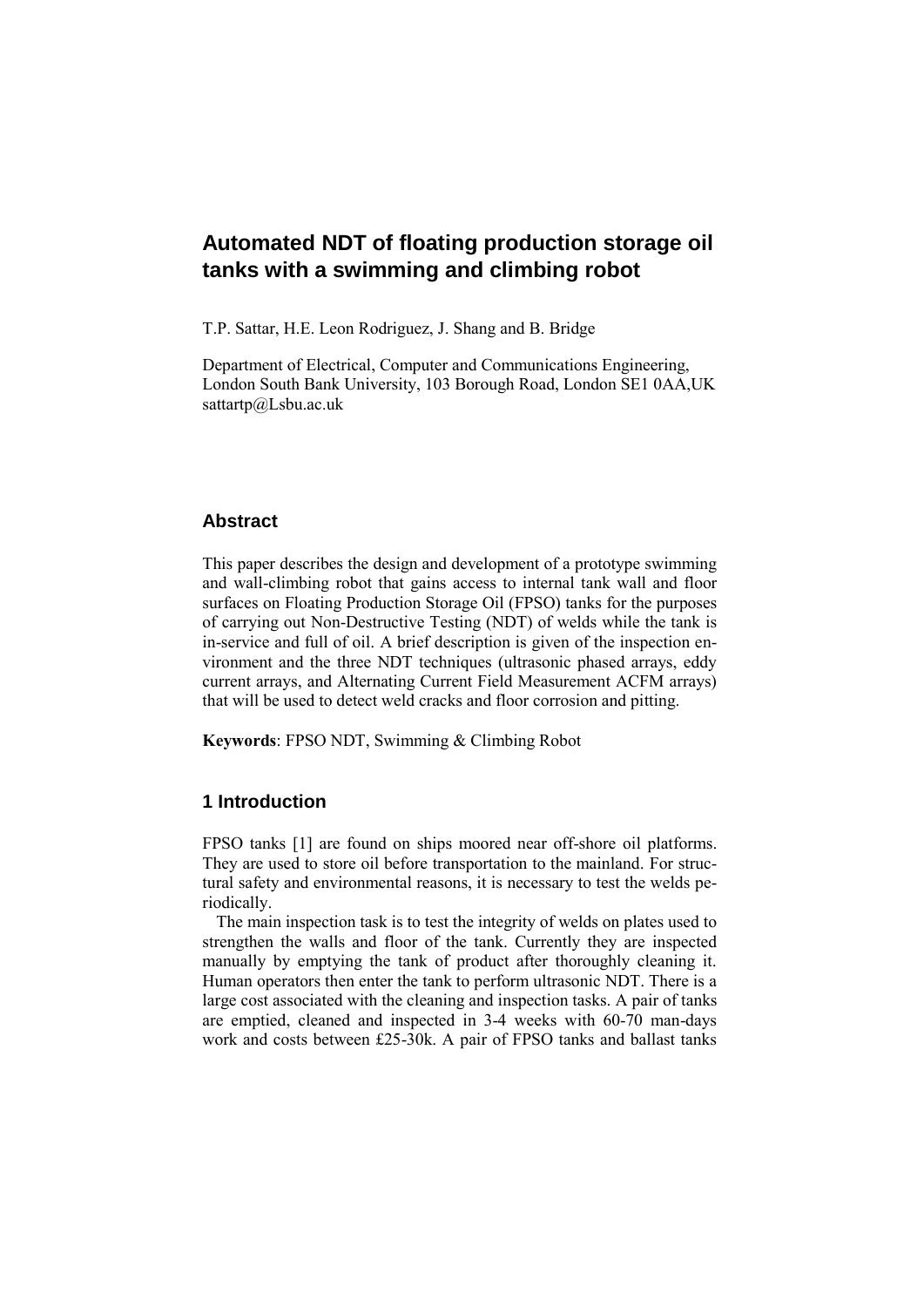# **Automated NDT of floating production storage oil tanks with a swimming and climbing robot**

T.P. Sattar, H.E. Leon Rodriguez, J. Shang and B. Bridge

Department of Electrical, Computer and Communications Engineering, London South Bank University, 103 Borough Road, London SE1 0AA,UK sattartp@Lsbu.ac.uk

## **Abstract**

This paper describes the design and development of a prototype swimming and wall-climbing robot that gains access to internal tank wall and floor surfaces on Floating Production Storage Oil (FPSO) tanks for the purposes of carrying out Non-Destructive Testing (NDT) of welds while the tank is in-service and full of oil. A brief description is given of the inspection environment and the three NDT techniques (ultrasonic phased arrays, eddy current arrays, and Alternating Current Field Measurement ACFM arrays) that will be used to detect weld cracks and floor corrosion and pitting.

**Keywords**: FPSO NDT, Swimming & Climbing Robot

#### **1 Introduction**

FPSO tanks [1] are found on ships moored near off-shore oil platforms. They are used to store oil before transportation to the mainland. For structural safety and environmental reasons, it is necessary to test the welds periodically.

The main inspection task is to test the integrity of welds on plates used to strengthen the walls and floor of the tank. Currently they are inspected manually by emptying the tank of product after thoroughly cleaning it. Human operators then enter the tank to perform ultrasonic NDT. There is a large cost associated with the cleaning and inspection tasks. A pair of tanks are emptied, cleaned and inspected in 3-4 weeks with 60-70 man-days work and costs between £25-30k. A pair of FPSO tanks and ballast tanks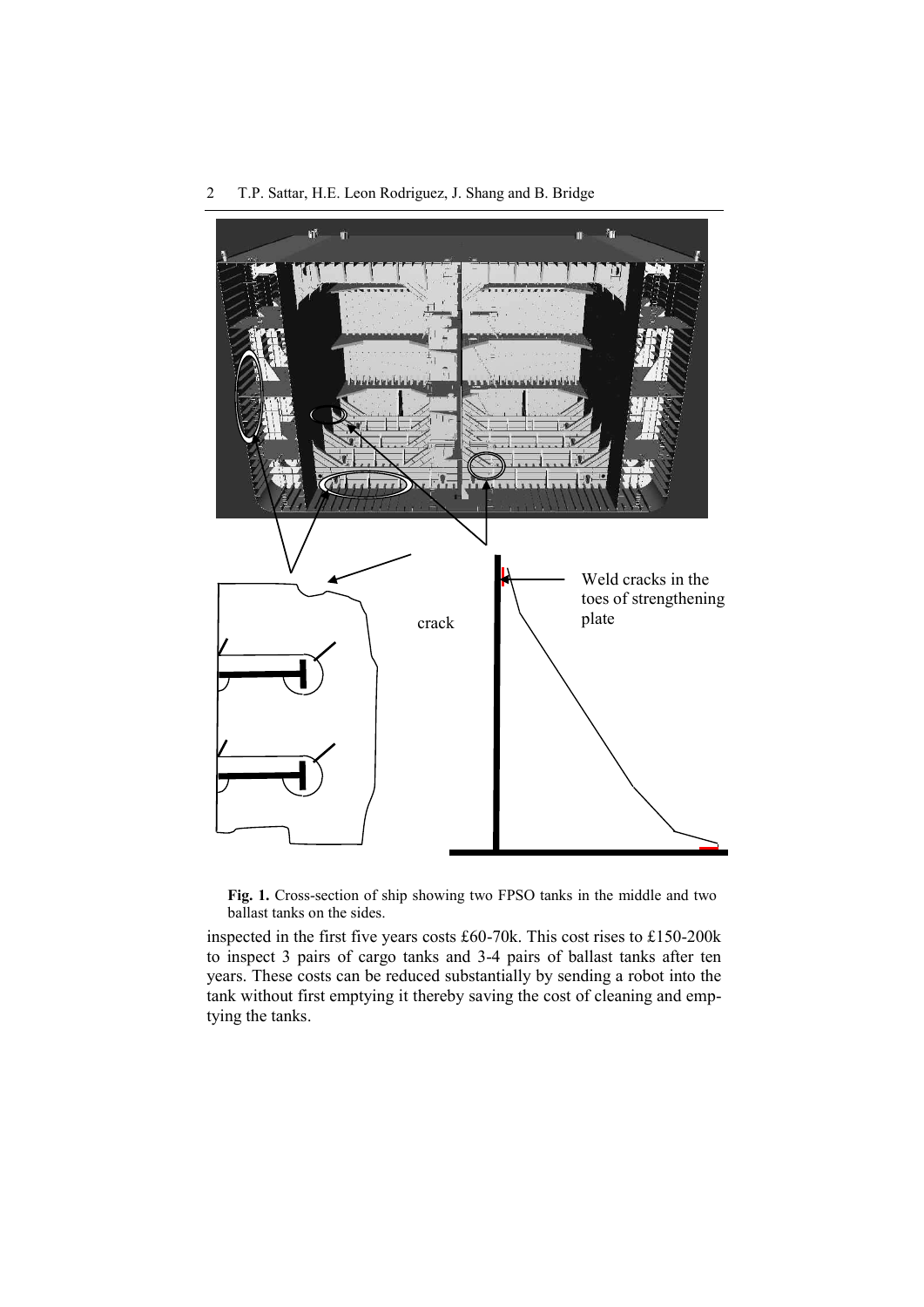

#### 2 T.P. Sattar, H.E. Leon Rodriguez, J. Shang and B. Bridge

**Fig. 1.** Cross-section of ship showing two FPSO tanks in the middle and two ballast tanks on the sides.

inspected in the first five years costs £60-70k. This cost rises to £150-200k to inspect 3 pairs of cargo tanks and 3-4 pairs of ballast tanks after ten years. These costs can be reduced substantially by sending a robot into the tank without first emptying it thereby saving the cost of cleaning and emptying the tanks.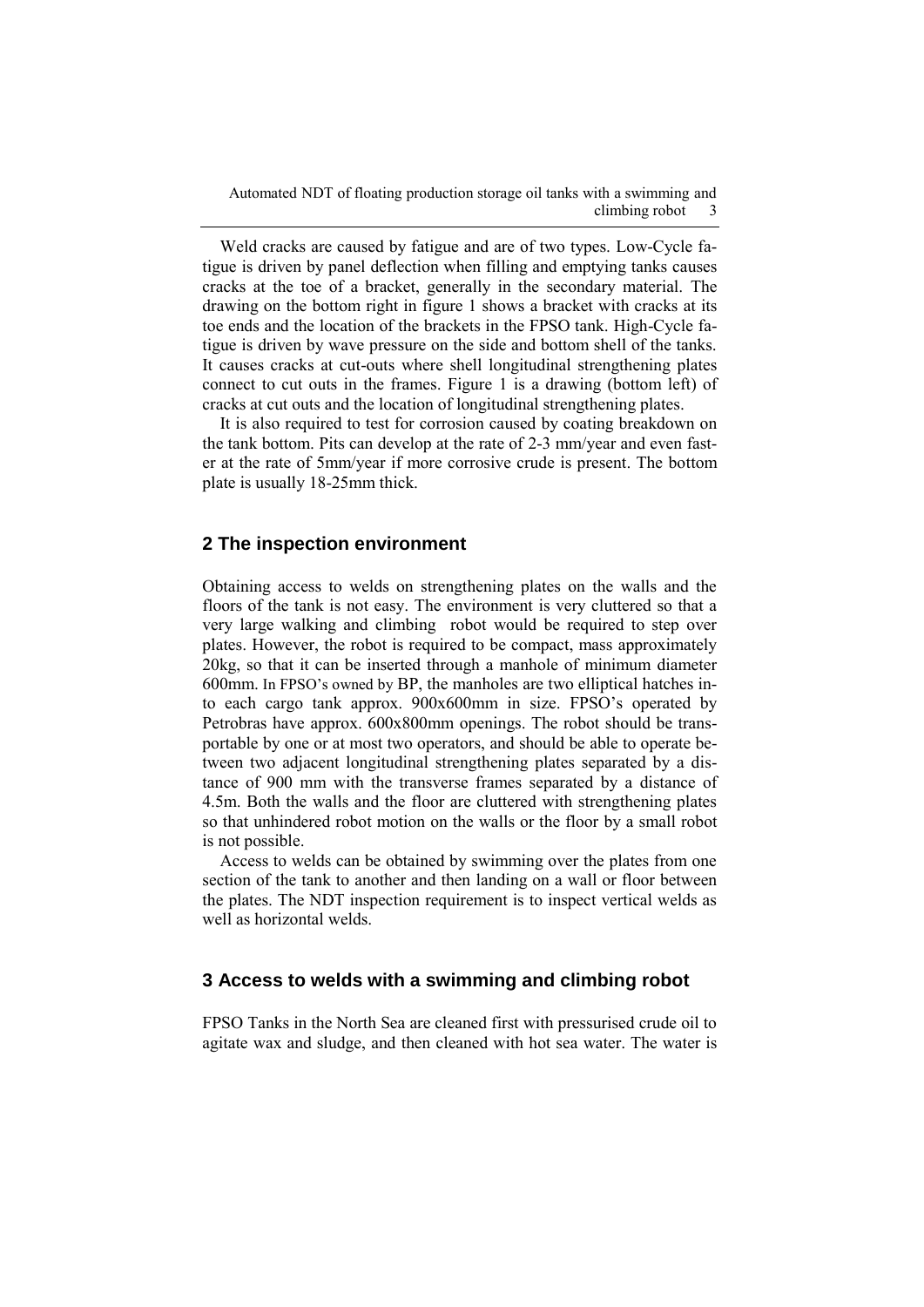Automated NDT of floating production storage oil tanks with a swimming and climbing robot

Weld cracks are caused by fatigue and are of two types. Low-Cycle fatigue is driven by panel deflection when filling and emptying tanks causes cracks at the toe of a bracket, generally in the secondary material. The drawing on the bottom right in figure 1 shows a bracket with cracks at its toe ends and the location of the brackets in the FPSO tank. High-Cycle fatigue is driven by wave pressure on the side and bottom shell of the tanks. It causes cracks at cut-outs where shell longitudinal strengthening plates connect to cut outs in the frames. Figure 1 is a drawing (bottom left) of cracks at cut outs and the location of longitudinal strengthening plates.

It is also required to test for corrosion caused by coating breakdown on the tank bottom. Pits can develop at the rate of 2-3 mm/year and even faster at the rate of 5mm/year if more corrosive crude is present. The bottom plate is usually 18-25mm thick.

### **2 The inspection environment**

Obtaining access to welds on strengthening plates on the walls and the floors of the tank is not easy. The environment is very cluttered so that a very large walking and climbing robot would be required to step over plates. However, the robot is required to be compact, mass approximately 20kg, so that it can be inserted through a manhole of minimum diameter 600mm. In FPSO's owned by BP, the manholes are two elliptical hatches into each cargo tank approx. 900x600mm in size. FPSO's operated by Petrobras have approx. 600x800mm openings. The robot should be transportable by one or at most two operators, and should be able to operate between two adjacent longitudinal strengthening plates separated by a distance of 900 mm with the transverse frames separated by a distance of 4.5m. Both the walls and the floor are cluttered with strengthening plates so that unhindered robot motion on the walls or the floor by a small robot is not possible.

Access to welds can be obtained by swimming over the plates from one section of the tank to another and then landing on a wall or floor between the plates. The NDT inspection requirement is to inspect vertical welds as well as horizontal welds.

### **3 Access to welds with a swimming and climbing robot**

FPSO Tanks in the North Sea are cleaned first with pressurised crude oil to agitate wax and sludge, and then cleaned with hot sea water. The water is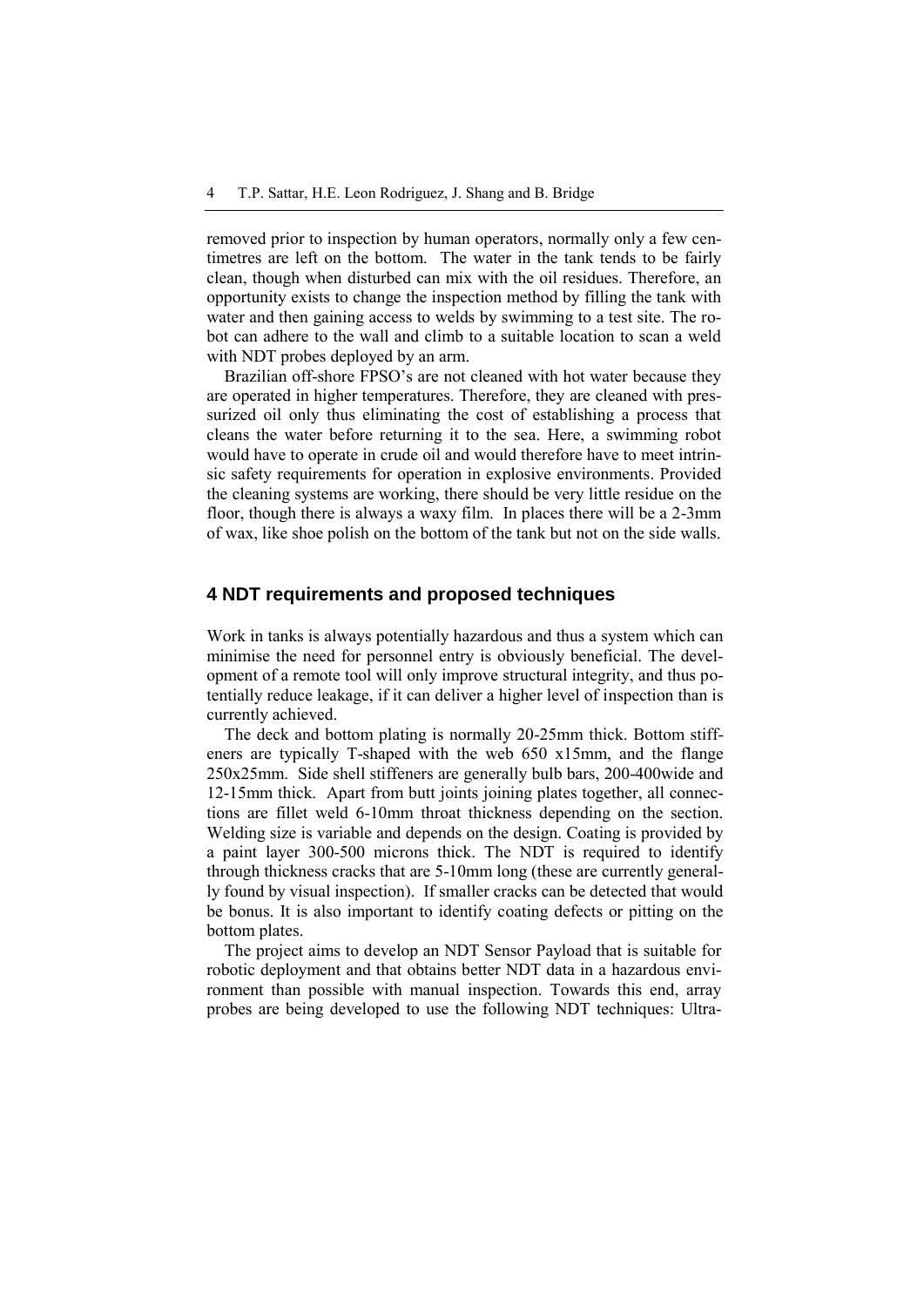removed prior to inspection by human operators, normally only a few centimetres are left on the bottom. The water in the tank tends to be fairly clean, though when disturbed can mix with the oil residues. Therefore, an opportunity exists to change the inspection method by filling the tank with water and then gaining access to welds by swimming to a test site. The robot can adhere to the wall and climb to a suitable location to scan a weld with NDT probes deployed by an arm.

Brazilian off-shore FPSO's are not cleaned with hot water because they are operated in higher temperatures. Therefore, they are cleaned with pressurized oil only thus eliminating the cost of establishing a process that cleans the water before returning it to the sea. Here, a swimming robot would have to operate in crude oil and would therefore have to meet intrinsic safety requirements for operation in explosive environments. Provided the cleaning systems are working, there should be very little residue on the floor, though there is always a waxy film. In places there will be a 2-3mm of wax, like shoe polish on the bottom of the tank but not on the side walls.

#### **4 NDT requirements and proposed techniques**

Work in tanks is always potentially hazardous and thus a system which can minimise the need for personnel entry is obviously beneficial. The development of a remote tool will only improve structural integrity, and thus potentially reduce leakage, if it can deliver a higher level of inspection than is currently achieved.

The deck and bottom plating is normally 20-25mm thick. Bottom stiffeners are typically T-shaped with the web 650 x15mm, and the flange 250x25mm. Side shell stiffeners are generally bulb bars, 200-400wide and 12-15mm thick. Apart from butt joints joining plates together, all connections are fillet weld 6-10mm throat thickness depending on the section. Welding size is variable and depends on the design. Coating is provided by a paint layer 300-500 microns thick. The NDT is required to identify through thickness cracks that are 5-10mm long (these are currently generally found by visual inspection). If smaller cracks can be detected that would be bonus. It is also important to identify coating defects or pitting on the bottom plates.

The project aims to develop an NDT Sensor Payload that is suitable for robotic deployment and that obtains better NDT data in a hazardous environment than possible with manual inspection. Towards this end, array probes are being developed to use the following NDT techniques: Ultra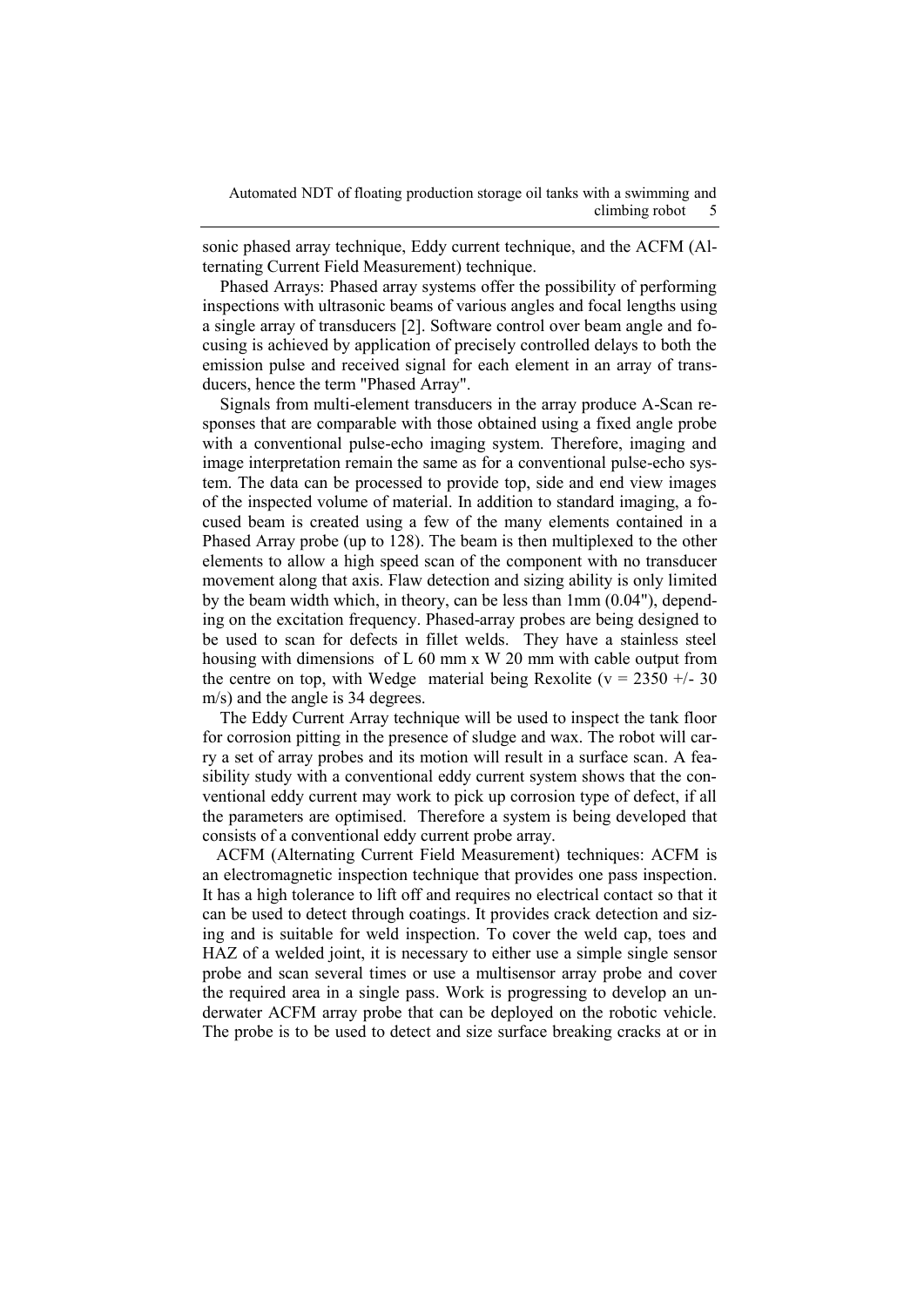sonic phased array technique, Eddy current technique, and the ACFM (Alternating Current Field Measurement) technique.

Phased Arrays: Phased array systems offer the possibility of performing inspections with ultrasonic beams of various angles and focal lengths using a single array of transducers [2]. Software control over beam angle and focusing is achieved by application of precisely controlled delays to both the emission pulse and received signal for each element in an array of transducers, hence the term "Phased Array".

Signals from multi-element transducers in the array produce A-Scan responses that are comparable with those obtained using a fixed angle probe with a conventional pulse-echo imaging system. Therefore, imaging and image interpretation remain the same as for a conventional pulse-echo system. The data can be processed to provide top, side and end view images of the inspected volume of material. In addition to standard imaging, a focused beam is created using a few of the many elements contained in a Phased Array probe (up to 128). The beam is then multiplexed to the other elements to allow a high speed scan of the component with no transducer movement along that axis. Flaw detection and sizing ability is only limited by the beam width which, in theory, can be less than 1mm (0.04"), depending on the excitation frequency. Phased-array probes are being designed to be used to scan for defects in fillet welds. They have a stainless steel housing with dimensions of L 60 mm x W 20 mm with cable output from the centre on top, with Wedge material being Rexolite ( $v = 2350 +1.30$ m/s) and the angle is 34 degrees.

The Eddy Current Array technique will be used to inspect the tank floor for corrosion pitting in the presence of sludge and wax. The robot will carry a set of array probes and its motion will result in a surface scan. A feasibility study with a conventional eddy current system shows that the conventional eddy current may work to pick up corrosion type of defect, if all the parameters are optimised. Therefore a system is being developed that consists of a conventional eddy current probe array.

ACFM (Alternating Current Field Measurement) techniques: ACFM is an electromagnetic inspection technique that provides one pass inspection. It has a high tolerance to lift off and requires no electrical contact so that it can be used to detect through coatings. It provides crack detection and sizing and is suitable for weld inspection. To cover the weld cap, toes and HAZ of a welded joint, it is necessary to either use a simple single sensor probe and scan several times or use a multisensor array probe and cover the required area in a single pass. Work is progressing to develop an underwater ACFM array probe that can be deployed on the robotic vehicle. The probe is to be used to detect and size surface breaking cracks at or in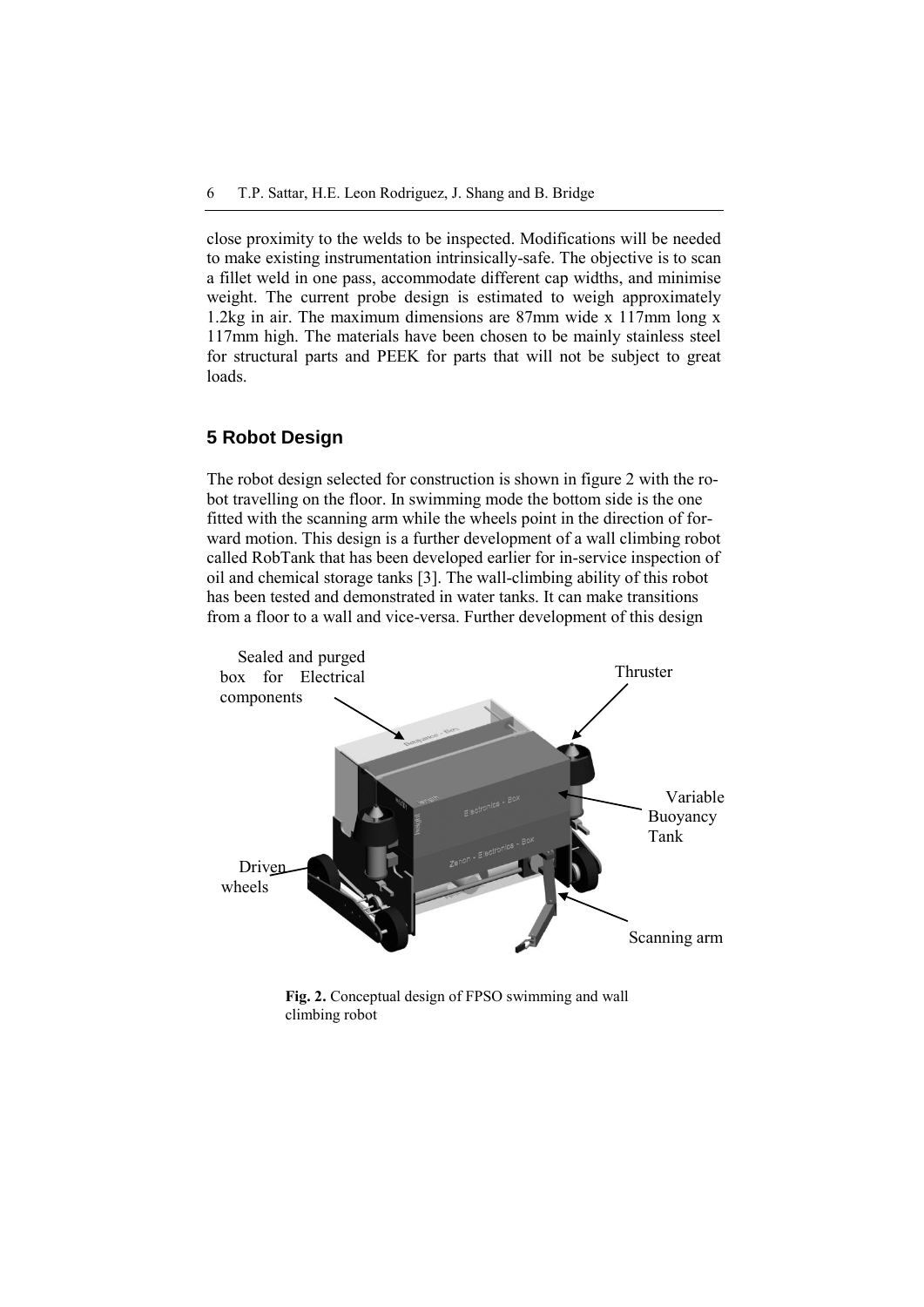close proximity to the welds to be inspected. Modifications will be needed to make existing instrumentation intrinsically-safe. The objective is to scan a fillet weld in one pass, accommodate different cap widths, and minimise weight. The current probe design is estimated to weigh approximately 1.2kg in air. The maximum dimensions are 87mm wide x 117mm long x 117mm high. The materials have been chosen to be mainly stainless steel for structural parts and PEEK for parts that will not be subject to great loads.

### **5 Robot Design**

The robot design selected for construction is shown in figure 2 with the robot travelling on the floor. In swimming mode the bottom side is the one fitted with the scanning arm while the wheels point in the direction of forward motion. This design is a further development of a wall climbing robot called RobTank that has been developed earlier for in-service inspection of oil and chemical storage tanks [3]. The wall-climbing ability of this robot has been tested and demonstrated in water tanks. It can make transitions from a floor to a wall and vice-versa. Further development of this design



**Fig. 2.** Conceptual design of FPSO swimming and wall climbing robot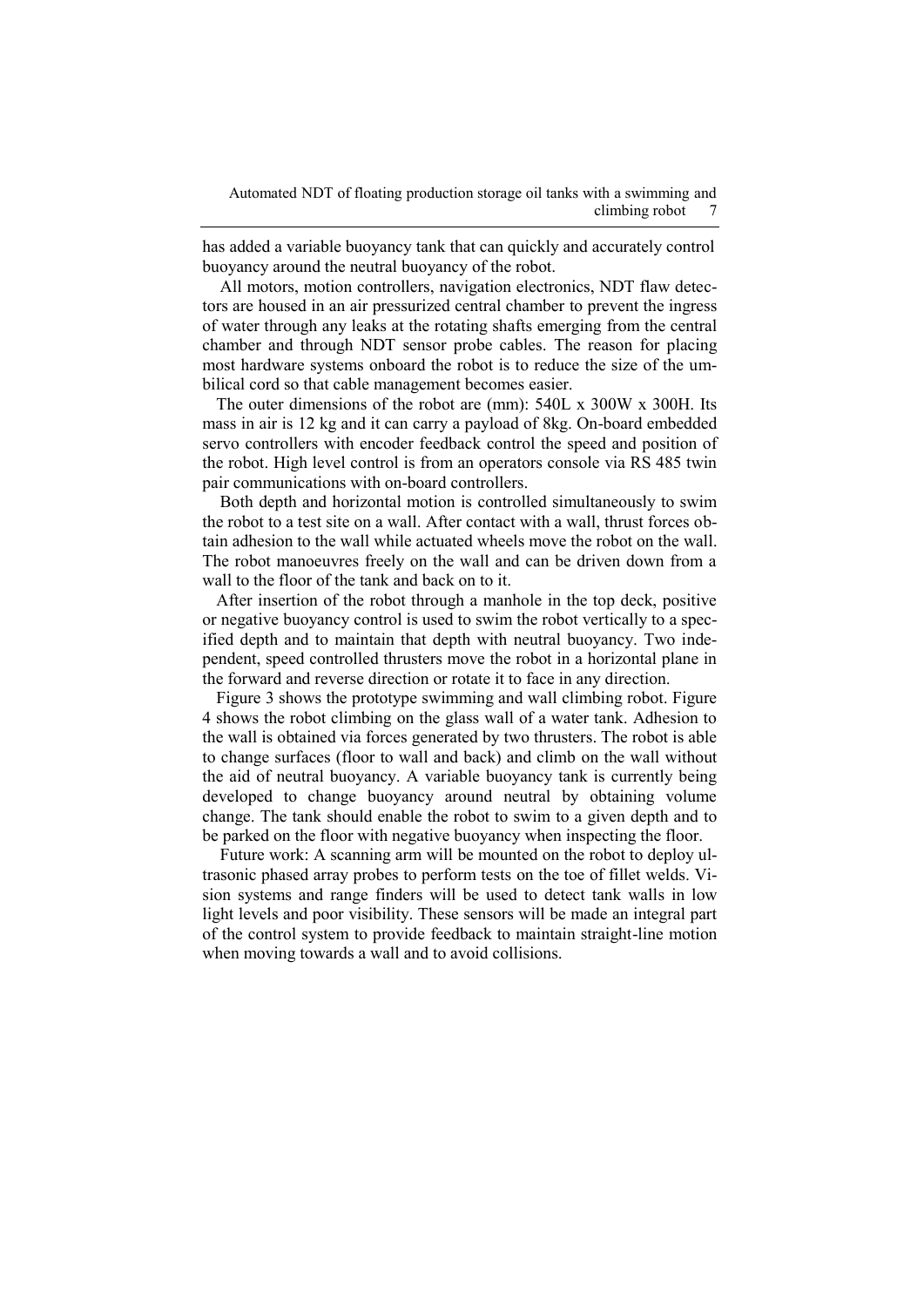has added a variable buoyancy tank that can quickly and accurately control buoyancy around the neutral buoyancy of the robot.

All motors, motion controllers, navigation electronics, NDT flaw detectors are housed in an air pressurized central chamber to prevent the ingress of water through any leaks at the rotating shafts emerging from the central chamber and through NDT sensor probe cables. The reason for placing most hardware systems onboard the robot is to reduce the size of the umbilical cord so that cable management becomes easier.

The outer dimensions of the robot are (mm): 540L x 300W x 300H. Its mass in air is 12 kg and it can carry a payload of 8kg. On-board embedded servo controllers with encoder feedback control the speed and position of the robot. High level control is from an operators console via RS 485 twin pair communications with on-board controllers.

Both depth and horizontal motion is controlled simultaneously to swim the robot to a test site on a wall. After contact with a wall, thrust forces obtain adhesion to the wall while actuated wheels move the robot on the wall. The robot manoeuvres freely on the wall and can be driven down from a wall to the floor of the tank and back on to it.

After insertion of the robot through a manhole in the top deck, positive or negative buoyancy control is used to swim the robot vertically to a specified depth and to maintain that depth with neutral buoyancy. Two independent, speed controlled thrusters move the robot in a horizontal plane in the forward and reverse direction or rotate it to face in any direction.

Figure 3 shows the prototype swimming and wall climbing robot. Figure 4 shows the robot climbing on the glass wall of a water tank. Adhesion to the wall is obtained via forces generated by two thrusters. The robot is able to change surfaces (floor to wall and back) and climb on the wall without the aid of neutral buoyancy. A variable buoyancy tank is currently being developed to change buoyancy around neutral by obtaining volume change. The tank should enable the robot to swim to a given depth and to be parked on the floor with negative buoyancy when inspecting the floor.

Future work: A scanning arm will be mounted on the robot to deploy ultrasonic phased array probes to perform tests on the toe of fillet welds. Vision systems and range finders will be used to detect tank walls in low light levels and poor visibility. These sensors will be made an integral part of the control system to provide feedback to maintain straight-line motion when moving towards a wall and to avoid collisions.